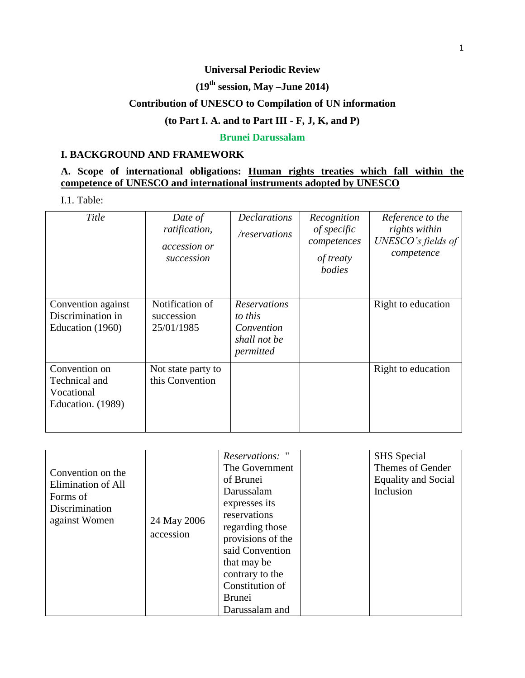### **Universal Periodic Review**

# **(19 th session, May –June 2014)**

## **Contribution of UNESCO to Compilation of UN information**

#### **(to Part I. A. and to Part III - F, J, K, and P)**

### **Brunei Darussalam**

#### **I. BACKGROUND AND FRAMEWORK**

# **A. Scope of international obligations: Human rights treaties which fall within the competence of UNESCO and international instruments adopted by UNESCO**

I.1. Table:

| Title                                                             | Date of<br>ratification,<br><i>accession or</i><br>succession | <b>Declarations</b><br>/reservations                                      | Recognition<br>of specific<br>competences<br>of treaty<br>bodies | Reference to the<br>rights within<br>UNESCO's fields of<br>competence |
|-------------------------------------------------------------------|---------------------------------------------------------------|---------------------------------------------------------------------------|------------------------------------------------------------------|-----------------------------------------------------------------------|
| Convention against<br>Discrimination in<br>Education (1960)       | Notification of<br>succession<br>25/01/1985                   | <b>Reservations</b><br>to this<br>Convention<br>shall not be<br>permitted |                                                                  | Right to education                                                    |
| Convention on<br>Technical and<br>Vocational<br>Education. (1989) | Not state party to<br>this Convention                         |                                                                           |                                                                  | Right to education                                                    |

| Convention on the<br>Elimination of All<br>Forms of<br>Discrimination<br>against Women | 24 May 2006<br>accession | Reservations: "<br>The Government<br>of Brunei<br>Darussalam<br>expresses its<br>reservations<br>regarding those<br>provisions of the | <b>SHS</b> Special<br>Themes of Gender<br><b>Equality and Social</b><br>Inclusion |
|----------------------------------------------------------------------------------------|--------------------------|---------------------------------------------------------------------------------------------------------------------------------------|-----------------------------------------------------------------------------------|
|                                                                                        |                          | said Convention                                                                                                                       |                                                                                   |
|                                                                                        |                          | that may be                                                                                                                           |                                                                                   |
|                                                                                        |                          | contrary to the                                                                                                                       |                                                                                   |
|                                                                                        |                          | Constitution of                                                                                                                       |                                                                                   |
|                                                                                        |                          | <b>Brunei</b>                                                                                                                         |                                                                                   |
|                                                                                        |                          | Darussalam and                                                                                                                        |                                                                                   |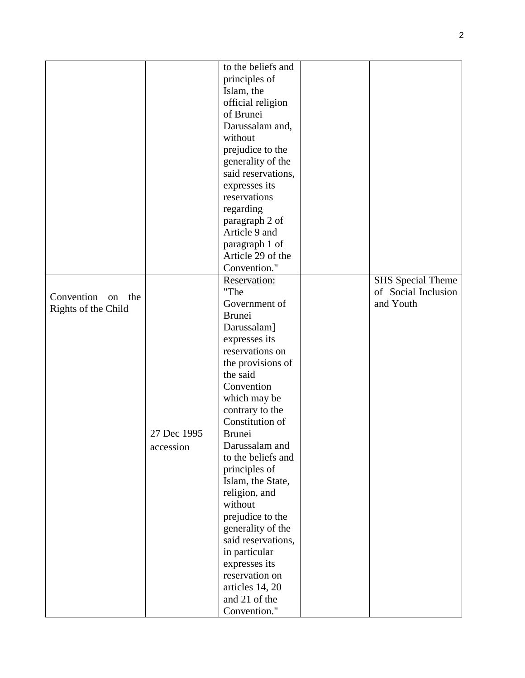|                      |             | to the beliefs and  |                          |
|----------------------|-------------|---------------------|--------------------------|
|                      |             | principles of       |                          |
|                      |             | Islam, the          |                          |
|                      |             | official religion   |                          |
|                      |             | of Brunei           |                          |
|                      |             | Darussalam and,     |                          |
|                      |             | without             |                          |
|                      |             | prejudice to the    |                          |
|                      |             | generality of the   |                          |
|                      |             | said reservations,  |                          |
|                      |             | expresses its       |                          |
|                      |             | reservations        |                          |
|                      |             | regarding           |                          |
|                      |             | paragraph 2 of      |                          |
|                      |             | Article 9 and       |                          |
|                      |             | paragraph 1 of      |                          |
|                      |             | Article 29 of the   |                          |
|                      |             | Convention."        |                          |
|                      |             | <b>Reservation:</b> | <b>SHS</b> Special Theme |
|                      |             | "The                | of Social Inclusion      |
| Convention on<br>the |             | Government of       | and Youth                |
| Rights of the Child  |             | <b>Brunei</b>       |                          |
|                      |             |                     |                          |
|                      |             | Darussalam]         |                          |
|                      |             | expresses its       |                          |
|                      |             | reservations on     |                          |
|                      |             | the provisions of   |                          |
|                      |             | the said            |                          |
|                      |             | Convention          |                          |
|                      |             | which may be        |                          |
|                      |             | contrary to the     |                          |
|                      |             | Constitution of     |                          |
|                      | 27 Dec 1995 | <b>Brunei</b>       |                          |
|                      | accession   | Darussalam and      |                          |
|                      |             | to the beliefs and  |                          |
|                      |             | principles of       |                          |
|                      |             | Islam, the State,   |                          |
|                      |             | religion, and       |                          |
|                      |             | without             |                          |
|                      |             | prejudice to the    |                          |
|                      |             | generality of the   |                          |
|                      |             | said reservations,  |                          |
|                      |             | in particular       |                          |
|                      |             | expresses its       |                          |
|                      |             | reservation on      |                          |
|                      |             | articles 14, 20     |                          |
|                      |             | and 21 of the       |                          |
|                      |             | Convention."        |                          |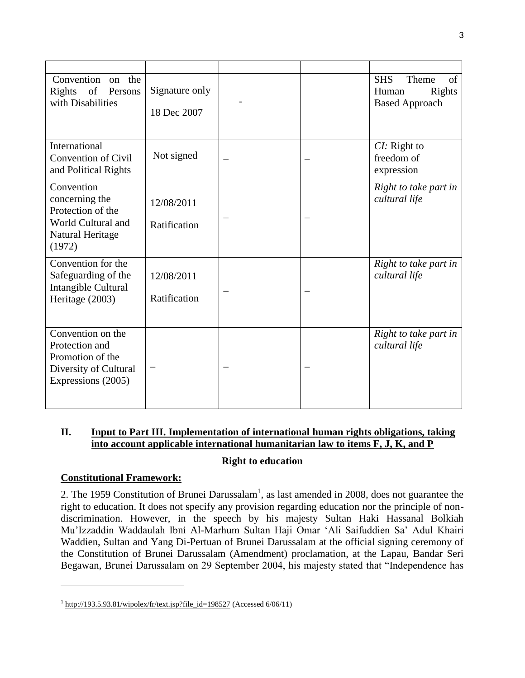| Convention<br>the<br>$\alpha$<br>of Persons<br>Rights<br>with Disabilities                             | Signature only<br>18 Dec 2007 |  | <b>SHS</b><br>Theme<br>of<br>Rights<br>Human<br><b>Based Approach</b> |
|--------------------------------------------------------------------------------------------------------|-------------------------------|--|-----------------------------------------------------------------------|
| International<br><b>Convention of Civil</b><br>and Political Rights                                    | Not signed                    |  | CI: Right to<br>freedom of<br>expression                              |
| Convention<br>concerning the<br>Protection of the<br>World Cultural and<br>Natural Heritage<br>(1972)  | 12/08/2011<br>Ratification    |  | Right to take part in<br>cultural life                                |
| Convention for the<br>Safeguarding of the<br>Intangible Cultural<br>Heritage (2003)                    | 12/08/2011<br>Ratification    |  | Right to take part in<br>cultural life                                |
| Convention on the<br>Protection and<br>Promotion of the<br>Diversity of Cultural<br>Expressions (2005) |                               |  | Right to take part in<br>cultural life                                |

# **II. Input to Part III. Implementation of international human rights obligations, taking into account applicable international humanitarian law to items F, J, K, and P**

## **Right to education**

#### **Constitutional Framework:**

 $\overline{\phantom{a}}$ 

2. The 1959 Constitution of Brunei Darussalam<sup>1</sup>, as last amended in 2008, does not guarantee the right to education. It does not specify any provision regarding education nor the principle of nondiscrimination. However, in the speech by his majesty Sultan Haki Hassanal Bolkiah Mu'Izzaddin Waddaulah Ibni Al-Marhum Sultan Haji Omar 'Ali Saifuddien Sa' Adul Khairi Waddien, Sultan and Yang Di-Pertuan of Brunei Darussalam at the official signing ceremony of the Constitution of Brunei Darussalam (Amendment) proclamation, at the Lapau, Bandar Seri Begawan, Brunei Darussalam on 29 September 2004, his majesty stated that "Independence has

 $1 \frac{\text{http://193.5.93.81/wipolex/fr/text.jsp?file_id=198527}}{1}$  $1 \frac{\text{http://193.5.93.81/wipolex/fr/text.jsp?file_id=198527}}{1}$  $1 \frac{\text{http://193.5.93.81/wipolex/fr/text.jsp?file_id=198527}}{1}$  (Accessed 6/06/11)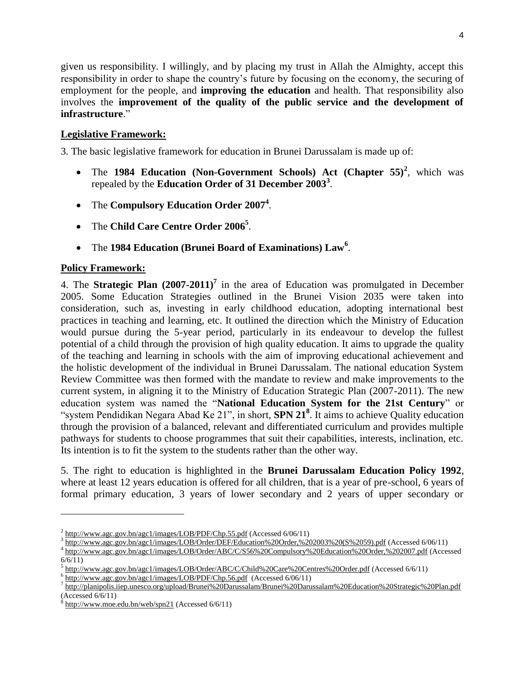given us responsibility. I willingly, and by placing my trust in Allah the Almighty, accept this responsibility in order to shape the country's future by focusing on the economy, the securing of employment for the people, and **improving the education** and health. That responsibility also involves the **improvement of the quality of the public service and the development of infrastructure**."

### **Legislative Framework:**

3. The basic legislative framework for education in Brunei Darussalam is made up of:

- The 1984 Education (Non-Government Schools) Act (Chapter 55)<sup>2</sup>, which was repealed by the **Education Order of 31 December 2003<sup>3</sup>** .
- The **Compulsory Education Order 2007<sup>4</sup>** .
- The **Child Care Centre Order 2006<sup>5</sup>** .
- The **1984 Education (Brunei Board of Examinations) Law<sup>6</sup>** .

#### **Policy Framework:**

l

4. The **Strategic Plan (2007-2011)<sup>7</sup>** in the area of Education was promulgated in December 2005. Some Education Strategies outlined in the Brunei Vision 2035 were taken into consideration, such as, investing in early childhood education, adopting international best practices in teaching and learning, etc. It outlined the direction which the Ministry of Education would pursue during the 5-year period, particularly in its endeavour to develop the fullest potential of a child through the provision of high quality education. It aims to upgrade the quality of the teaching and learning in schools with the aim of improving educational achievement and the holistic development of the individual in Brunei Darussalam. The national education System Review Committee was then formed with the mandate to review and make improvements to the current system, in aligning it to the Ministry of Education Strategic Plan (2007-2011). The new education system was named the "**National Education System for the 21st Century**" or "system Pendidikan Negara Abad Ke 21", in short, **SPN 21<sup>8</sup>** . It aims to achieve Quality education through the provision of a balanced, relevant and differentiated curriculum and provides multiple pathways for students to choose programmes that suit their capabilities, interests, inclination, etc. Its intention is to fit the system to the students rather than the other way.

5. The right to education is highlighted in the **Brunei Darussalam Education Policy 1992**, where at least 12 years education is offered for all children, that is a year of pre-school, 6 years of formal primary education, 3 years of lower secondary and 2 years of upper secondary or

 $^{2}$  <http://www.agc.gov.bn/agc1/images/LOB/PDF/Chp.55.pdf> (Accessed 6/06/11)

<sup>3</sup> [http://www.agc.gov.bn/agc1/images/LOB/Order/DEF/Education%20Order,%202003%20\(S%2059\).pdf](http://www.agc.gov.bn/agc1/images/LOB/Order/DEF/Education%20Order,%202003%20(S%2059).pdf) (Accessed 6/06/11)

<sup>4</sup> <http://www.agc.gov.bn/agc1/images/LOB/Order/ABC/C/S56%20Compulsory%20Education%20Order,%202007.pdf> (Accessed 6/6/11)

<sup>5</sup> <http://www.agc.gov.bn/agc1/images/LOB/Order/ABC/C/Child%20Care%20Centres%20Order.pdf> (Accessed 6/6/11)

 $^6$  <http://www.agc.gov.bn/agc1/images/LOB/PDF/Chp.56.pdf>(Accessed 6/06/11)<br>  $^7$  http://plonipolis.jion.unesse erg/unleed/Prunsi<sup>02</sup> 20Derusselan/Prunsi<sup>02</sup> 20Deru

<http://planipolis.iiep.unesco.org/upload/Brunei%20Darussalam/Brunei%20Darussalam%20Education%20Strategic%20Plan.pdf> (Accessed 6/6/11)

<sup>8</sup> <http://www.moe.edu.bn/web/spn21> (Accessed 6/6/11)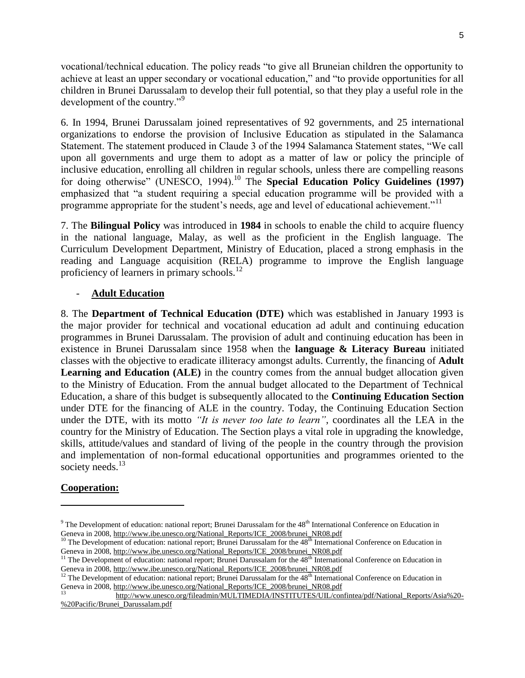vocational/technical education. The policy reads "to give all Bruneian children the opportunity to achieve at least an upper secondary or vocational education," and "to provide opportunities for all children in Brunei Darussalam to develop their full potential, so that they play a useful role in the development of the country."<sup>9</sup>

6. In 1994, Brunei Darussalam joined representatives of 92 governments, and 25 international organizations to endorse the provision of Inclusive Education as stipulated in the Salamanca Statement. The statement produced in Claude 3 of the 1994 Salamanca Statement states, "We call upon all governments and urge them to adopt as a matter of law or policy the principle of inclusive education, enrolling all children in regular schools, unless there are compelling reasons for doing otherwise" (UNESCO, 1994).<sup>10</sup> The **Special Education Policy Guidelines (1997)** emphasized that "a student requiring a special education programme will be provided with a programme appropriate for the student's needs, age and level of educational achievement."<sup>11</sup>

7. The **Bilingual Policy** was introduced in **1984** in schools to enable the child to acquire fluency in the national language, Malay, as well as the proficient in the English language. The Curriculum Development Department, Ministry of Education, placed a strong emphasis in the reading and Language acquisition (RELA) programme to improve the English language proficiency of learners in primary schools. $^{12}$ 

#### - **Adult Education**

8. The **Department of Technical Education (DTE)** which was established in January 1993 is the major provider for technical and vocational education ad adult and continuing education programmes in Brunei Darussalam. The provision of adult and continuing education has been in existence in Brunei Darussalam since 1958 when the **language & Literacy Bureau** initiated classes with the objective to eradicate illiteracy amongst adults. Currently, the financing of **Adult Learning and Education (ALE)** in the country comes from the annual budget allocation given to the Ministry of Education. From the annual budget allocated to the Department of Technical Education, a share of this budget is subsequently allocated to the **Continuing Education Section** under DTE for the financing of ALE in the country. Today, the Continuing Education Section under the DTE, with its motto *"It is never too late to learn"*, coordinates all the LEA in the country for the Ministry of Education. The Section plays a vital role in upgrading the knowledge, skills, attitude/values and standard of living of the people in the country through the provision and implementation of non-formal educational opportunities and programmes oriented to the society needs. $^{13}$ 

## **Cooperation:**

 $\overline{\phantom{a}}$ 

 $9$  The Development of education: national report; Brunei Darussalam for the  $48<sup>th</sup>$  International Conference on Education in Geneva in 2008[, http://www.ibe.unesco.org/National\\_Reports/ICE\\_2008/brunei\\_NR08.pdf](http://www.ibe.unesco.org/National_Reports/ICE_2008/brunei_NR08.pdf)

<sup>&</sup>lt;sup>10</sup> The Development of education: national report; Brunei Darussalam for the 48<sup>th</sup> International Conference on Education in Geneva in 2008[, http://www.ibe.unesco.org/National\\_Reports/ICE\\_2008/brunei\\_NR08.pdf](http://www.ibe.unesco.org/National_Reports/ICE_2008/brunei_NR08.pdf)

 $11$  The Development of education: national report; Brunei Darussalam for the  $48<sup>th</sup>$  International Conference on Education in Geneva in 2008[, http://www.ibe.unesco.org/National\\_Reports/ICE\\_2008/brunei\\_NR08.pdf](http://www.ibe.unesco.org/National_Reports/ICE_2008/brunei_NR08.pdf)

<sup>&</sup>lt;sup>12</sup> The Development of education: national report; Brunei Darussalam for the  $48<sup>th</sup>$  International Conference on Education in Geneva in 2008[, http://www.ibe.unesco.org/National\\_Reports/ICE\\_2008/brunei\\_NR08.pdf](http://www.ibe.unesco.org/National_Reports/ICE_2008/brunei_NR08.pdf)

<sup>13</sup> [http://www.unesco.org/fileadmin/MULTIMEDIA/INSTITUTES/UIL/confintea/pdf/National\\_Reports/Asia%20-](http://www.unesco.org/fileadmin/MULTIMEDIA/INSTITUTES/UIL/confintea/pdf/National_Reports/Asia%20-%20Pacific/Brunei_Darussalam.pdf) [%20Pacific/Brunei\\_Darussalam.pdf](http://www.unesco.org/fileadmin/MULTIMEDIA/INSTITUTES/UIL/confintea/pdf/National_Reports/Asia%20-%20Pacific/Brunei_Darussalam.pdf)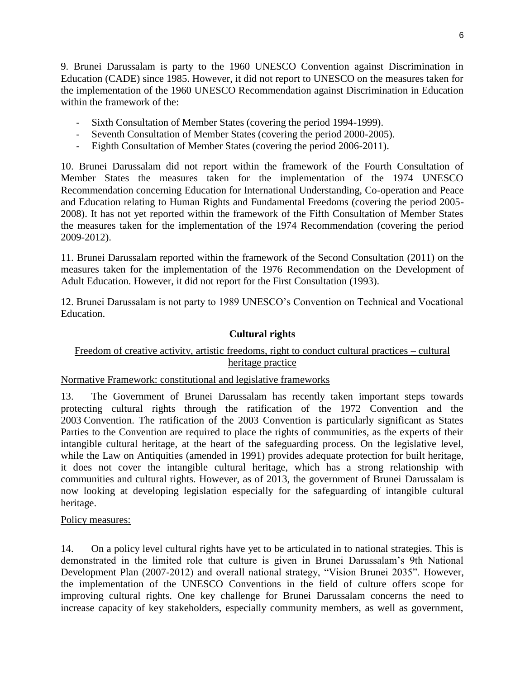9. Brunei Darussalam is party to the 1960 UNESCO Convention against Discrimination in Education (CADE) since 1985. However, it did not report to UNESCO on the measures taken for the implementation of the 1960 UNESCO Recommendation against Discrimination in Education within the framework of the:

- Sixth Consultation of Member States (covering the period 1994-1999).
- Seventh Consultation of Member States (covering the period 2000-2005).
- Eighth Consultation of Member States (covering the period 2006-2011).

10. Brunei Darussalam did not report within the framework of the Fourth Consultation of Member States the measures taken for the implementation of the 1974 UNESCO Recommendation concerning Education for International Understanding, Co-operation and Peace and Education relating to Human Rights and Fundamental Freedoms (covering the period 2005- 2008). It has not yet reported within the framework of the Fifth Consultation of Member States the measures taken for the implementation of the 1974 Recommendation (covering the period 2009-2012).

11. Brunei Darussalam reported within the framework of the Second Consultation (2011) on the measures taken for the implementation of the 1976 Recommendation on the Development of Adult Education. However, it did not report for the First Consultation (1993).

12. Brunei Darussalam is not party to 1989 UNESCO's Convention on Technical and Vocational Education.

## **Cultural rights**

# Freedom of creative activity, artistic freedoms, right to conduct cultural practices – cultural heritage practice

## Normative Framework: constitutional and legislative frameworks

13. The Government of Brunei Darussalam has recently taken important steps towards protecting cultural rights through the ratification of the 1972 Convention and the 2003 Convention. The ratification of the 2003 Convention is particularly significant as States Parties to the Convention are required to place the rights of communities, as the experts of their intangible cultural heritage, at the heart of the safeguarding process. On the legislative level, while the Law on Antiquities (amended in 1991) provides adequate protection for built heritage, it does not cover the intangible cultural heritage, which has a strong relationship with communities and cultural rights. However, as of 2013, the government of Brunei Darussalam is now looking at developing legislation especially for the safeguarding of intangible cultural heritage.

## Policy measures:

14. On a policy level cultural rights have yet to be articulated in to national strategies. This is demonstrated in the limited role that culture is given in Brunei Darussalam's 9th National Development Plan (2007-2012) and overall national strategy, "Vision Brunei 2035". However, the implementation of the UNESCO Conventions in the field of culture offers scope for improving cultural rights. One key challenge for Brunei Darussalam concerns the need to increase capacity of key stakeholders, especially community members, as well as government,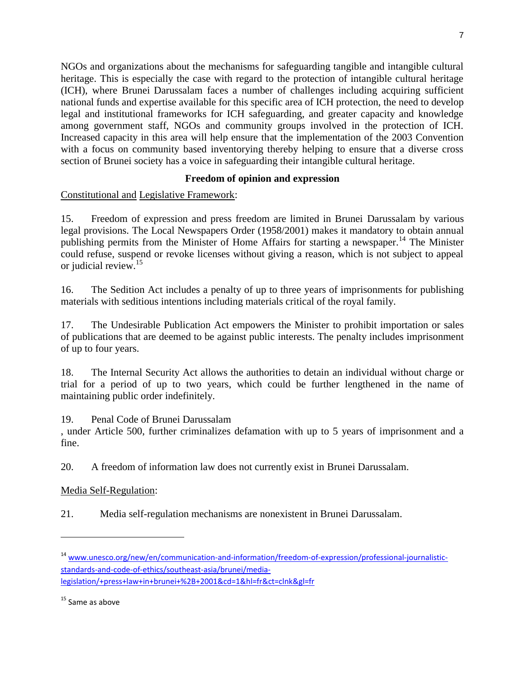NGOs and organizations about the mechanisms for safeguarding tangible and intangible cultural heritage. This is especially the case with regard to the protection of intangible cultural heritage (ICH), where Brunei Darussalam faces a number of challenges including acquiring sufficient national funds and expertise available for this specific area of ICH protection, the need to develop legal and institutional frameworks for ICH safeguarding, and greater capacity and knowledge among government staff, NGOs and community groups involved in the protection of ICH. Increased capacity in this area will help ensure that the implementation of the 2003 Convention with a focus on community based inventorying thereby helping to ensure that a diverse cross section of Brunei society has a voice in safeguarding their intangible cultural heritage.

# **Freedom of opinion and expression**

Constitutional and Legislative Framework:

15. Freedom of expression and press freedom are limited in Brunei Darussalam by various legal provisions. The Local Newspapers Order (1958/2001) makes it mandatory to obtain annual publishing permits from the Minister of Home Affairs for starting a newspaper.<sup>14</sup> The Minister could refuse, suspend or revoke licenses without giving a reason, which is not subject to appeal or judicial review.<sup>15</sup>

16. The Sedition Act includes a penalty of up to three years of imprisonments for publishing materials with seditious intentions including materials critical of the royal family.

17. The Undesirable Publication Act empowers the Minister to prohibit importation or sales of publications that are deemed to be against public interests. The penalty includes imprisonment of up to four years.

18. The Internal Security Act allows the authorities to detain an individual without charge or trial for a period of up to two years, which could be further lengthened in the name of maintaining public order indefinitely.

19. Penal Code of Brunei Darussalam

, under Article 500, further criminalizes defamation with up to 5 years of imprisonment and a fine.

20. A freedom of information law does not currently exist in Brunei Darussalam.

Media Self-Regulation:

21. Media self-regulation mechanisms are nonexistent in Brunei Darussalam.

l

<sup>14</sup> [www.unesco.org/new/en/communication-and-information/freedom-of-expression/professional-journalistic](http://www.unesco.org/new/en/communication-and-information/freedom-of-expression/professional-journalistic-standards-and-code-of-ethics/southeast-asia/brunei/media-legislation/+press+law+in+brunei+%2B+2001&cd=1&hl=fr&ct=clnk&gl=fr)[standards-and-code-of-ethics/southeast-asia/brunei/media](http://www.unesco.org/new/en/communication-and-information/freedom-of-expression/professional-journalistic-standards-and-code-of-ethics/southeast-asia/brunei/media-legislation/+press+law+in+brunei+%2B+2001&cd=1&hl=fr&ct=clnk&gl=fr)[legislation/+press+law+in+brunei+%2B+2001&cd=1&hl=fr&ct=clnk&gl=fr](http://www.unesco.org/new/en/communication-and-information/freedom-of-expression/professional-journalistic-standards-and-code-of-ethics/southeast-asia/brunei/media-legislation/+press+law+in+brunei+%2B+2001&cd=1&hl=fr&ct=clnk&gl=fr)

<sup>&</sup>lt;sup>15</sup> Same as above